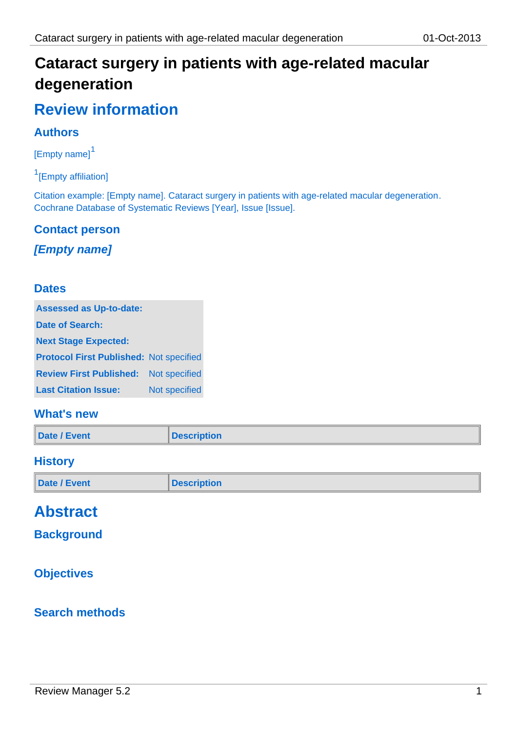# **Cataract surgery in patients with age-related macular degeneration**

# **Review information**

### **Authors**

[Empty name]<sup>1</sup>

<sup>1</sup>[Empty affiliation]

Citation example: [Empty name]. Cataract surgery in patients with age-related macular degeneration. Cochrane Database of Systematic Reviews [Year], Issue [Issue].

### **Contact person**

### *[Empty name]*

#### **Dates**

| <b>Assessed as Up-to-date:</b>                 |               |  |
|------------------------------------------------|---------------|--|
| Date of Search:                                |               |  |
| <b>Next Stage Expected:</b>                    |               |  |
| <b>Protocol First Published: Not specified</b> |               |  |
| <b>Review First Published:</b> Not specified   |               |  |
| <b>Last Citation Issue:</b>                    | Not specified |  |

### **What's new**

| Date / Event | <b>Description</b> |
|--------------|--------------------|
|--------------|--------------------|

### **History**

| Date / Event<br><b>Description</b> |  |
|------------------------------------|--|
|------------------------------------|--|

# **Abstract**

### **Background**

### **Objectives**

### **Search methods**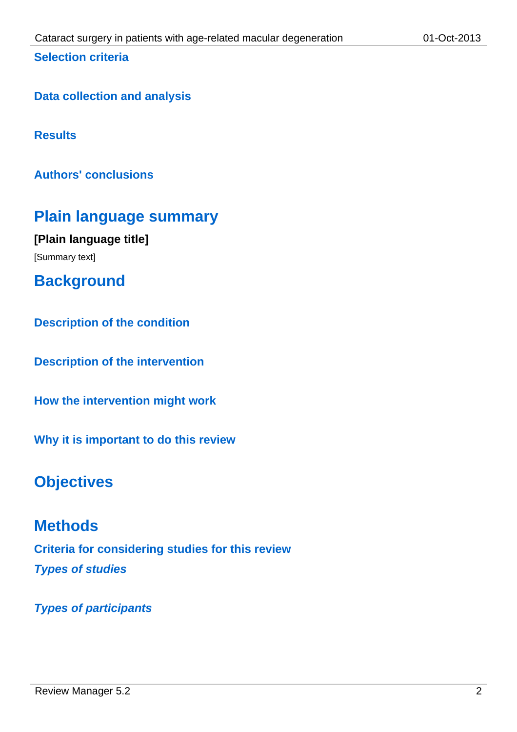### **Selection criteria**

**Data collection and analysis**

**Results**

**Authors' conclusions**

# **Plain language summary**

**[Plain language title]** [Summary text]

**Background**

**Description of the condition**

**Description of the intervention**

**How the intervention might work**

**Why it is important to do this review**

# **Objectives**

**Methods Criteria for considering studies for this review** *Types of studies*

*Types of participants*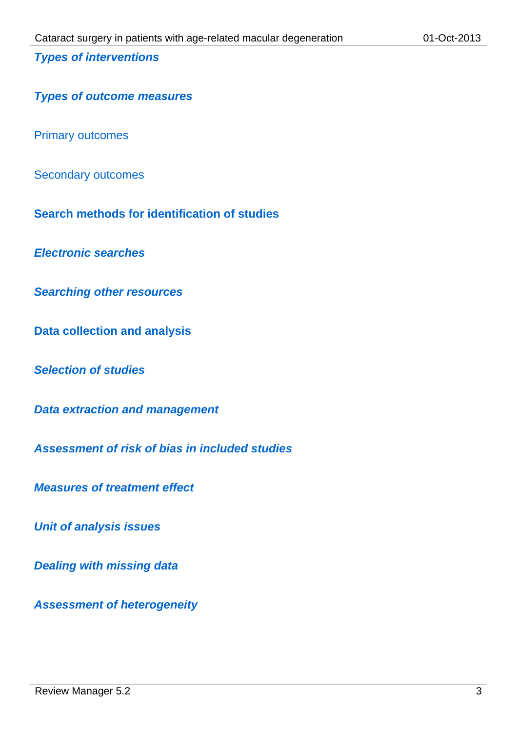#### *Types of interventions*

#### *Types of outcome measures*

Primary outcomes

Secondary outcomes

**Search methods for identification of studies**

*Electronic searches*

*Searching other resources*

**Data collection and analysis**

*Selection of studies*

*Data extraction and management*

*Assessment of risk of bias in included studies*

*Measures of treatment effect*

*Unit of analysis issues*

*Dealing with missing data*

*Assessment of heterogeneity*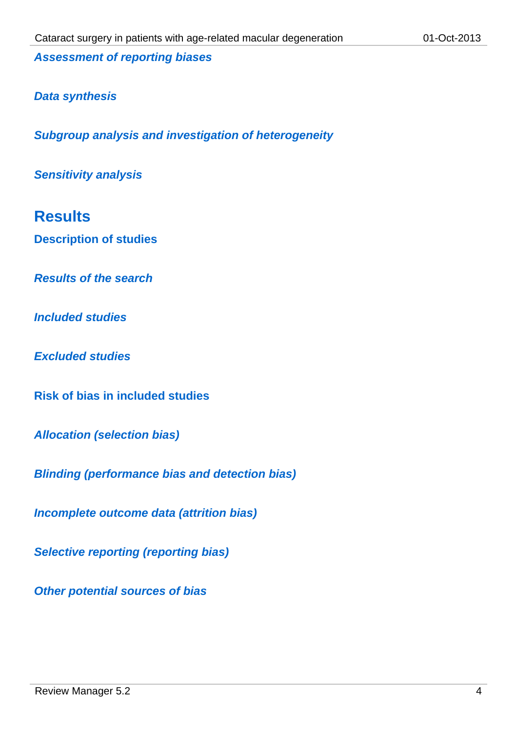*Assessment of reporting biases*

### *Data synthesis*

*Subgroup analysis and investigation of heterogeneity*

*Sensitivity analysis*

# **Results**

**Description of studies**

*Results of the search*

*Included studies*

*Excluded studies*

**Risk of bias in included studies**

*Allocation (selection bias)*

*Blinding (performance bias and detection bias)*

*Incomplete outcome data (attrition bias)*

*Selective reporting (reporting bias)*

*Other potential sources of bias*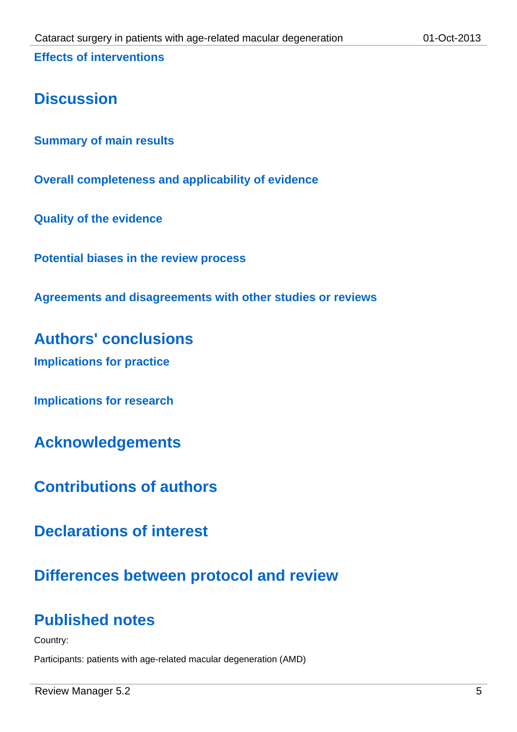**Effects of interventions**

# **Discussion**

**Summary of main results**

**Overall completeness and applicability of evidence**

**Quality of the evidence**

**Potential biases in the review process**

**Agreements and disagreements with other studies or reviews**

**Authors' conclusions**

**Implications for practice**

**Implications for research**

**Acknowledgements**

**Contributions of authors**

**Declarations of interest**

# **Differences between protocol and review**

# **Published notes**

Country:

Participants: patients with age-related macular degeneration (AMD)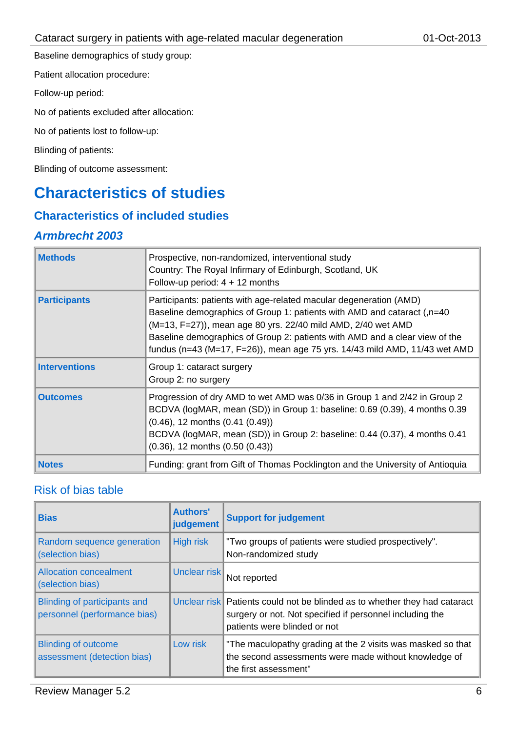Baseline demographics of study group:

Patient allocation procedure:

Follow-up period:

No of patients excluded after allocation:

No of patients lost to follow-up:

#### Blinding of patients:

Blinding of outcome assessment:

# **Characteristics of studies**

### **Characteristics of included studies**

#### *Armbrecht 2003*

| <b>Methods</b>       | Prospective, non-randomized, interventional study<br>Country: The Royal Infirmary of Edinburgh, Scotland, UK<br>Follow-up period: $4 + 12$ months                                                                                                                                                                                                                              |
|----------------------|--------------------------------------------------------------------------------------------------------------------------------------------------------------------------------------------------------------------------------------------------------------------------------------------------------------------------------------------------------------------------------|
| <b>Participants</b>  | Participants: patients with age-related macular degeneration (AMD)<br>Baseline demographics of Group 1: patients with AMD and cataract (,n=40<br>(M=13, F=27)), mean age 80 yrs. 22/40 mild AMD, 2/40 wet AMD<br>Baseline demographics of Group 2: patients with AMD and a clear view of the<br>fundus (n=43 (M=17, F=26)), mean age 75 yrs. $14/43$ mild AMD, $11/43$ wet AMD |
| <b>Interventions</b> | Group 1: cataract surgery<br>Group 2: no surgery                                                                                                                                                                                                                                                                                                                               |
| <b>Outcomes</b>      | Progression of dry AMD to wet AMD was 0/36 in Group 1 and 2/42 in Group 2<br>BCDVA (logMAR, mean (SD)) in Group 1: baseline: 0.69 (0.39), 4 months 0.39<br>$(0.46)$ , 12 months $(0.41 (0.49))$<br>BCDVA (logMAR, mean (SD)) in Group 2: baseline: 0.44 (0.37), 4 months 0.41<br>$(0.36)$ , 12 months $(0.50 (0.43))$                                                          |
| <b>Notes</b>         | Funding: grant from Gift of Thomas Pocklington and the University of Antioquia                                                                                                                                                                                                                                                                                                 |

#### Risk of bias table

| <b>Bias</b>                                                  | <b>Authors'</b><br>judgement | <b>Support for judgement</b>                                                                                                                                           |
|--------------------------------------------------------------|------------------------------|------------------------------------------------------------------------------------------------------------------------------------------------------------------------|
| Random sequence generation<br>(selection bias)               | High risk                    | "Two groups of patients were studied prospectively".<br>Non-randomized study                                                                                           |
| <b>Allocation concealment</b><br>(selection bias)            | Unclear risk                 | Not reported                                                                                                                                                           |
| Blinding of participants and<br>personnel (performance bias) |                              | Unclear risk Patients could not be blinded as to whether they had cataract<br>surgery or not. Not specified if personnel including the<br>patients were blinded or not |
| <b>Blinding of outcome</b><br>assessment (detection bias)    | Low risk                     | "The maculopathy grading at the 2 visits was masked so that<br>the second assessments were made without knowledge of<br>the first assessment"                          |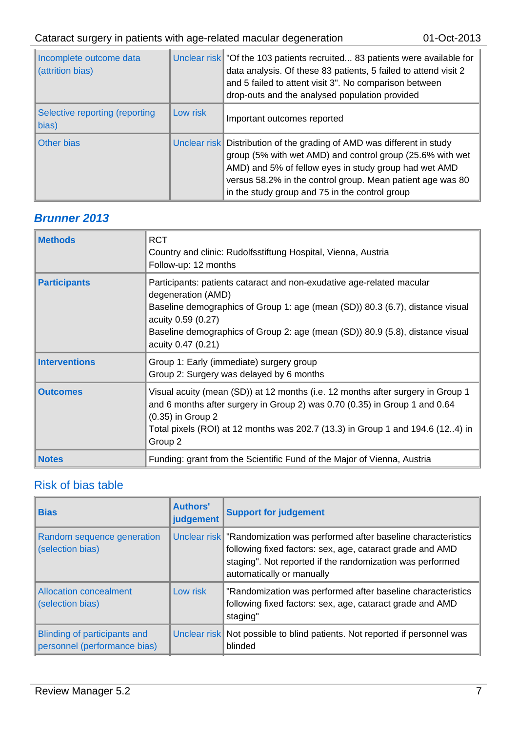| Incomplete outcome data<br>(attrition bias) |          | Unclear risk   "Of the 103 patients recruited 83 patients were available for<br>data analysis. Of these 83 patients, 5 failed to attend visit 2<br>and 5 failed to attent visit 3". No comparison between<br>drop-outs and the analysed population provided                                                  |
|---------------------------------------------|----------|--------------------------------------------------------------------------------------------------------------------------------------------------------------------------------------------------------------------------------------------------------------------------------------------------------------|
| Selective reporting (reporting<br>bias)     | Low risk | Important outcomes reported                                                                                                                                                                                                                                                                                  |
| Other bias                                  |          | Unclear risk Distribution of the grading of AMD was different in study<br>group (5% with wet AMD) and control group (25.6% with wet<br>AMD) and 5% of fellow eyes in study group had wet AMD<br>versus 58.2% in the control group. Mean patient age was 80<br>in the study group and 75 in the control group |

# *Brunner 2013*

| <b>Methods</b>       | <b>RCT</b><br>Country and clinic: Rudolfsstiftung Hospital, Vienna, Austria<br>Follow-up: 12 months                                                                                                                                                                                                       |
|----------------------|-----------------------------------------------------------------------------------------------------------------------------------------------------------------------------------------------------------------------------------------------------------------------------------------------------------|
| <b>Participants</b>  | Participants: patients cataract and non-exudative age-related macular<br>degeneration (AMD)<br>Baseline demographics of Group 1: age (mean (SD)) 80.3 (6.7), distance visual<br>acuity 0.59 (0.27)<br>Baseline demographics of Group 2: age (mean (SD)) 80.9 (5.8), distance visual<br>acuity 0.47 (0.21) |
| <b>Interventions</b> | Group 1: Early (immediate) surgery group<br>Group 2: Surgery was delayed by 6 months                                                                                                                                                                                                                      |
| <b>Outcomes</b>      | Visual acuity (mean (SD)) at 12 months (i.e. 12 months after surgery in Group 1<br>and 6 months after surgery in Group 2) was 0.70 (0.35) in Group 1 and 0.64<br>(0.35) in Group 2<br>Total pixels (ROI) at 12 months was 202.7 (13.3) in Group 1 and 194.6 (124) in<br>Group 2                           |
| <b>Notes</b>         | Funding: grant from the Scientific Fund of the Major of Vienna, Austria                                                                                                                                                                                                                                   |

# Risk of bias table

| <b>Bias</b>                                                  | <b>Authors'</b><br>judgement | <b>Support for judgement</b>                                                                                                                                                                                                   |
|--------------------------------------------------------------|------------------------------|--------------------------------------------------------------------------------------------------------------------------------------------------------------------------------------------------------------------------------|
| Random sequence generation<br>(selection bias)               |                              | Unclear risk Tandomization was performed after baseline characteristics<br>following fixed factors: sex, age, cataract grade and AMD<br>staging". Not reported if the randomization was performed<br>automatically or manually |
| <b>Allocation concealment</b><br>(selection bias)            | Low risk                     | "Randomization was performed after baseline characteristics<br>following fixed factors: sex, age, cataract grade and AMD<br>staging"                                                                                           |
| Blinding of participants and<br>personnel (performance bias) |                              | Unclear risk Not possible to blind patients. Not reported if personnel was<br>blinded                                                                                                                                          |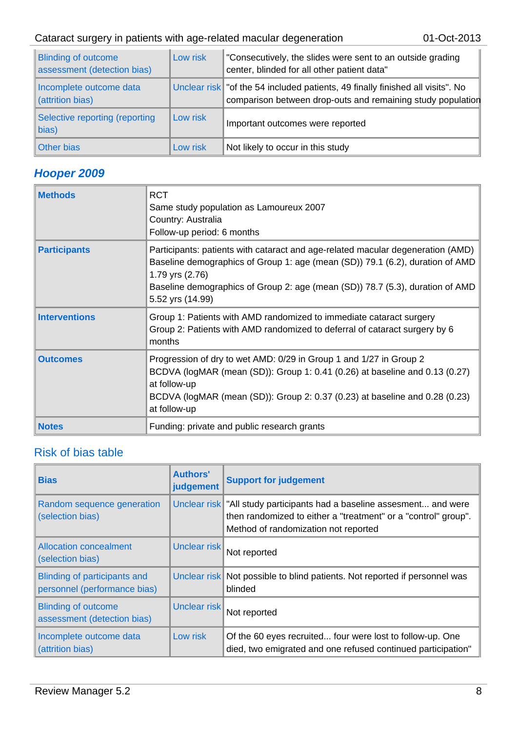### Cataract surgery in patients with age-related macular degeneration 01-Oct-2013

| <b>Blinding of outcome</b><br>assessment (detection bias) | Low risk | "Consecutively, the slides were sent to an outside grading<br>center, blinded for all other patient data"                                    |
|-----------------------------------------------------------|----------|----------------------------------------------------------------------------------------------------------------------------------------------|
| Incomplete outcome data<br>(attrition bias)               |          | Unclear risk of the 54 included patients, 49 finally finished all visits". No<br>comparison between drop-outs and remaining study population |
| Selective reporting (reporting<br>bias)                   | Low risk | Important outcomes were reported                                                                                                             |
| Other bias                                                | Low risk | Not likely to occur in this study                                                                                                            |

# *Hooper 2009*

| <b>Methods</b>       | <b>RCT</b><br>Same study population as Lamoureux 2007<br>Country: Australia<br>Follow-up period: 6 months                                                                                                                                                                                |
|----------------------|------------------------------------------------------------------------------------------------------------------------------------------------------------------------------------------------------------------------------------------------------------------------------------------|
| <b>Participants</b>  | Participants: patients with cataract and age-related macular degeneration (AMD)<br>Baseline demographics of Group 1: age (mean (SD)) 79.1 (6.2), duration of AMD<br>1.79 yrs (2.76)<br>Baseline demographics of Group 2: age (mean (SD)) 78.7 (5.3), duration of AMD<br>5.52 yrs (14.99) |
| <b>Interventions</b> | Group 1: Patients with AMD randomized to immediate cataract surgery<br>Group 2: Patients with AMD randomized to deferral of cataract surgery by 6<br>months                                                                                                                              |
| <b>Outcomes</b>      | Progression of dry to wet AMD: 0/29 in Group 1 and 1/27 in Group 2<br>BCDVA (logMAR (mean (SD)): Group 1: 0.41 (0.26) at baseline and 0.13 (0.27)<br>at follow-up<br>BCDVA (logMAR (mean (SD)): Group 2: 0.37 (0.23) at baseline and 0.28 (0.23)<br>at follow-up                         |
| <b>Notes</b>         | Funding: private and public research grants                                                                                                                                                                                                                                              |

### Risk of bias table

| <b>Bias</b>                                                  | <b>Authors'</b><br>judgement | <b>Support for judgement</b>                                                                                                                                                     |
|--------------------------------------------------------------|------------------------------|----------------------------------------------------------------------------------------------------------------------------------------------------------------------------------|
| Random sequence generation<br>(selection bias)               |                              | Unclear risk Tall study participants had a baseline assesment and were<br>then randomized to either a "treatment" or a "control" group".<br>Method of randomization not reported |
| <b>Allocation concealment</b><br>(selection bias)            | Unclear risk                 | Not reported                                                                                                                                                                     |
| Blinding of participants and<br>personnel (performance bias) |                              | Unclear risk Not possible to blind patients. Not reported if personnel was<br>blinded                                                                                            |
| <b>Blinding of outcome</b><br>assessment (detection bias)    | Unclear risk                 | Not reported                                                                                                                                                                     |
| Incomplete outcome data<br>(attrition bias)                  | Low risk                     | Of the 60 eyes recruited four were lost to follow-up. One<br>died, two emigrated and one refused continued participation"                                                        |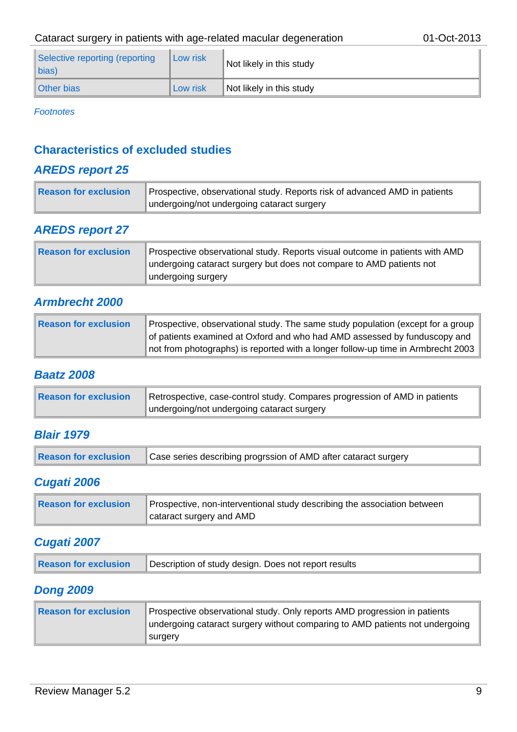| Selective reporting (reporting<br>$\ $ bias) | Low risk | Not likely in this study |
|----------------------------------------------|----------|--------------------------|
| Other bias                                   | Low risk | Not likely in this study |

*Footnotes*

### **Characteristics of excluded studies**

### *AREDS report 25*

| $\parallel$ Reason for exclusion | Prospective, observational study. Reports risk of advanced AMD in patients |
|----------------------------------|----------------------------------------------------------------------------|
|                                  | undergoing/not undergoing cataract surgery                                 |

### *AREDS report 27*

| Reason for exclusion | Prospective observational study. Reports visual outcome in patients with AMD<br>undergoing cataract surgery but does not compare to AMD patients not<br>undergoing surgery |
|----------------------|----------------------------------------------------------------------------------------------------------------------------------------------------------------------------|
|                      |                                                                                                                                                                            |

### *Armbrecht 2000*

| <b>Reason for exclusion</b> | Prospective, observational study. The same study population (except for a group  |
|-----------------------------|----------------------------------------------------------------------------------|
|                             | of patients examined at Oxford and who had AMD assessed by funduscopy and        |
|                             | not from photographs) is reported with a longer follow-up time in Armbrecht 2003 |

#### *Baatz 2008*

| Reason for exclusion | Retrospective, case-control study. Compares progression of AMD in patients |
|----------------------|----------------------------------------------------------------------------|
|                      | undergoing/not undergoing cataract surgery                                 |

### *Blair 1979*

| <b>Reason for exclusion</b> | Case series describing progrssion of AMD after cataract surgery |
|-----------------------------|-----------------------------------------------------------------|
|-----------------------------|-----------------------------------------------------------------|

### *Cugati 2006*

| Reason for exclusion | Prospective, non-interventional study describing the association between |
|----------------------|--------------------------------------------------------------------------|
|                      | cataract surgery and AMD                                                 |

### *Cugati 2007*

| Reason for exclusion<br>Description of study design. Does not report results |
|------------------------------------------------------------------------------|
|------------------------------------------------------------------------------|

### *Dong 2009*

| <b>Reason for exclusion</b> | Prospective observational study. Only reports AMD progression in patients    |
|-----------------------------|------------------------------------------------------------------------------|
|                             | undergoing cataract surgery without comparing to AMD patients not undergoing |
|                             | surgery                                                                      |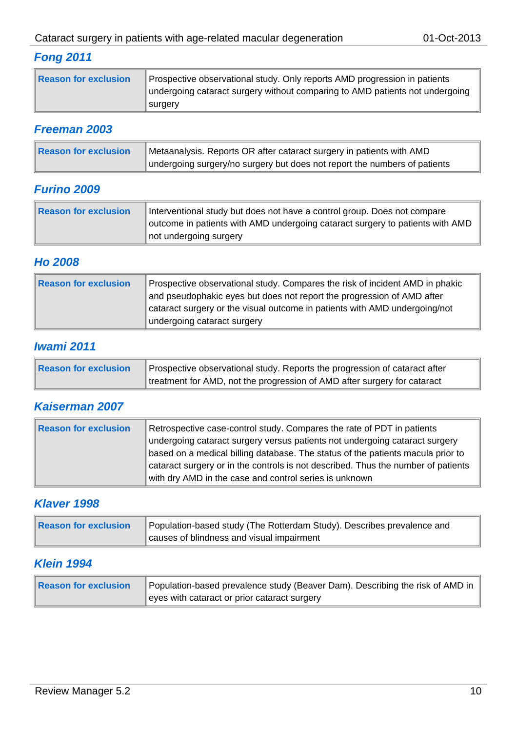# *Fong 2011*

| Reason for exclusion | Prospective observational study. Only reports AMD progression in patients<br>undergoing cataract surgery without comparing to AMD patients not undergoing |
|----------------------|-----------------------------------------------------------------------------------------------------------------------------------------------------------|
|                      | surgery                                                                                                                                                   |

### *Freeman 2003*

| Reason for exclusion | Metaanalysis. Reports OR after cataract surgery in patients with AMD      |
|----------------------|---------------------------------------------------------------------------|
|                      | undergoing surgery/no surgery but does not report the numbers of patients |

### *Furino 2009*

| Reason for exclusion | Interventional study but does not have a control group. Does not compare<br>outcome in patients with AMD undergoing cataract surgery to patients with AMD |
|----------------------|-----------------------------------------------------------------------------------------------------------------------------------------------------------|
|                      | not undergoing surgery                                                                                                                                    |

### *Ho 2008*

| Reason for exclusion | Prospective observational study. Compares the risk of incident AMD in phakic<br>and pseudophakic eyes but does not report the progression of AMD after<br>cataract surgery or the visual outcome in patients with AMD undergoing/not<br>undergoing cataract surgery |
|----------------------|---------------------------------------------------------------------------------------------------------------------------------------------------------------------------------------------------------------------------------------------------------------------|
|                      |                                                                                                                                                                                                                                                                     |

### *Iwami 2011*

| Reason for exclusion | Prospective observational study. Reports the progression of cataract after |
|----------------------|----------------------------------------------------------------------------|
|                      | treatment for AMD, not the progression of AMD after surgery for cataract   |

# *Kaiserman 2007*

| <b>Reason for exclusion</b> | Retrospective case-control study. Compares the rate of PDT in patients<br>undergoing cataract surgery versus patients not undergoing cataract surgery<br>based on a medical billing database. The status of the patients macula prior to<br>cataract surgery or in the controls is not described. Thus the number of patients<br>with dry AMD in the case and control series is unknown |
|-----------------------------|-----------------------------------------------------------------------------------------------------------------------------------------------------------------------------------------------------------------------------------------------------------------------------------------------------------------------------------------------------------------------------------------|
|-----------------------------|-----------------------------------------------------------------------------------------------------------------------------------------------------------------------------------------------------------------------------------------------------------------------------------------------------------------------------------------------------------------------------------------|

### *Klaver 1998*

| Reason for exclusion | Population-based study (The Rotterdam Study). Describes prevalence and |
|----------------------|------------------------------------------------------------------------|
|                      | causes of blindness and visual impairment                              |

### *Klein 1994*

| Reason for exclusion | Population-based prevalence study (Beaver Dam). Describing the risk of AMD in |
|----------------------|-------------------------------------------------------------------------------|
|                      | eyes with cataract or prior cataract surgery                                  |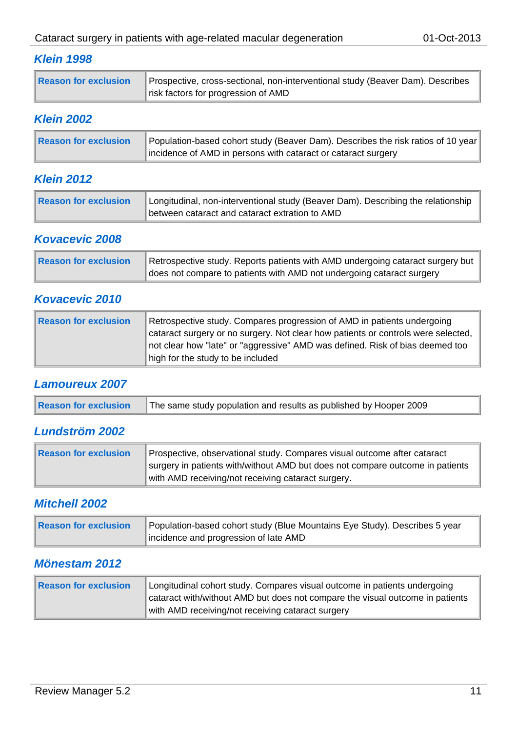# *Klein 1998*

|  | Reason for exclusion | Prospective, cross-sectional, non-interventional study (Beaver Dam). Describes<br>risk factors for progression of AMD |
|--|----------------------|-----------------------------------------------------------------------------------------------------------------------|
|--|----------------------|-----------------------------------------------------------------------------------------------------------------------|

### *Klein 2002*

| Reason for exclusion | Population-based cohort study (Beaver Dam). Describes the risk ratios of 10 year |
|----------------------|----------------------------------------------------------------------------------|
|                      | incidence of AMD in persons with cataract or cataract surgery                    |

### *Klein 2012*

| Reason for exclusion | Longitudinal, non-interventional study (Beaver Dam). Describing the relationship |
|----------------------|----------------------------------------------------------------------------------|
|                      | between cataract and cataract extration to AMD                                   |

# *Kovacevic 2008*

| Reason for exclusion | Retrospective study. Reports patients with AMD undergoing cataract surgery but |
|----------------------|--------------------------------------------------------------------------------|
|                      | does not compare to patients with AMD not undergoing cataract surgery          |

### *Kovacevic 2010*

| Reason for exclusion | Retrospective study. Compares progression of AMD in patients undergoing           |
|----------------------|-----------------------------------------------------------------------------------|
|                      | cataract surgery or no surgery. Not clear how patients or controls were selected, |
|                      | not clear how "late" or "aggressive" AMD was defined. Risk of bias deemed too     |
|                      | high for the study to be included                                                 |

### *Lamoureux 2007*

| Reason for exclusion   The same study population and results as published by Hooper 2009 |  |
|------------------------------------------------------------------------------------------|--|
|------------------------------------------------------------------------------------------|--|

# *Lundström 2002*

| Reason for exclusion | Prospective, observational study. Compares visual outcome after cataract      |
|----------------------|-------------------------------------------------------------------------------|
|                      | surgery in patients with/without AMD but does not compare outcome in patients |
|                      | with AMD receiving/not receiving cataract surgery.                            |

### *Mitchell 2002*

| Reason for exclusion | Population-based cohort study (Blue Mountains Eye Study). Describes 5 year |
|----------------------|----------------------------------------------------------------------------|
|                      | incidence and progression of late AMD                                      |

### *Mönestam 2012*

| Reason for exclusion | Longitudinal cohort study. Compares visual outcome in patients undergoing<br>cataract with/without AMD but does not compare the visual outcome in patients |
|----------------------|------------------------------------------------------------------------------------------------------------------------------------------------------------|
|                      | with AMD receiving/not receiving cataract surgery                                                                                                          |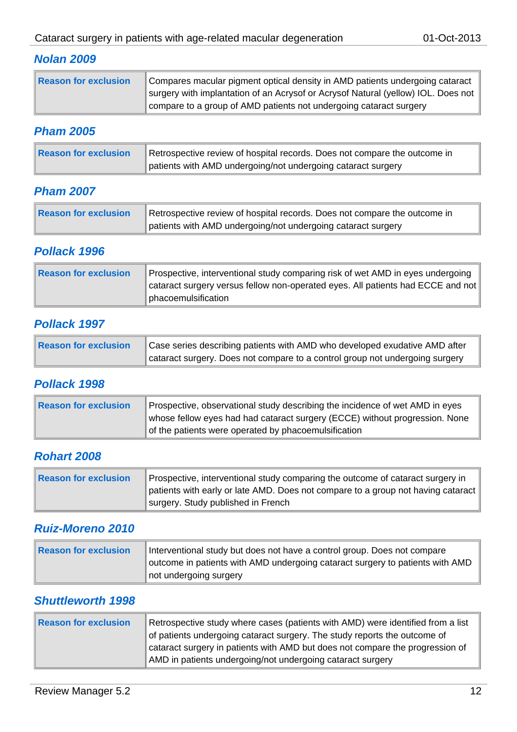### *Nolan 2009*

| Reason for exclusion | Compares macular pigment optical density in AMD patients undergoing cataract<br>surgery with implantation of an Acrysof or Acrysof Natural (yellow) IOL. Does not |
|----------------------|-------------------------------------------------------------------------------------------------------------------------------------------------------------------|
|                      | compare to a group of AMD patients not undergoing cataract surgery                                                                                                |

### *Pham 2005*

| Reason for exclusion | Retrospective review of hospital records. Does not compare the outcome in |
|----------------------|---------------------------------------------------------------------------|
|                      | patients with AMD undergoing/not undergoing cataract surgery              |

### *Pham 2007*

| Reason for exclusion | Retrospective review of hospital records. Does not compare the outcome in |
|----------------------|---------------------------------------------------------------------------|
|                      | patients with AMD undergoing/not undergoing cataract surgery              |

### *Pollack 1996*

| Reason for exclusion | Prospective, interventional study comparing risk of wet AMD in eyes undergoing<br>cataract surgery versus fellow non-operated eyes. All patients had ECCE and not |
|----------------------|-------------------------------------------------------------------------------------------------------------------------------------------------------------------|
|                      | phacoemulsification                                                                                                                                               |

### *Pollack 1997*

| Reason for exclusion | Case series describing patients with AMD who developed exudative AMD after   |
|----------------------|------------------------------------------------------------------------------|
|                      | cataract surgery. Does not compare to a control group not undergoing surgery |

### *Pollack 1998*

| Reason for exclusion | Prospective, observational study describing the incidence of wet AMD in eyes<br>whose fellow eyes had had cataract surgery (ECCE) without progression. None |
|----------------------|-------------------------------------------------------------------------------------------------------------------------------------------------------------|
|                      | of the patients were operated by phacoemulsification                                                                                                        |

### *Rohart 2008*

| Reason for exclusion | Prospective, interventional study comparing the outcome of cataract surgery in   |
|----------------------|----------------------------------------------------------------------------------|
|                      | patients with early or late AMD. Does not compare to a group not having cataract |
|                      | surgery. Study published in French                                               |

### *Ruiz-Moreno 2010*

| Reason for exclusion | Interventional study but does not have a control group. Does not compare<br>outcome in patients with AMD undergoing cataract surgery to patients with AMD |
|----------------------|-----------------------------------------------------------------------------------------------------------------------------------------------------------|
|                      | not undergoing surgery                                                                                                                                    |

### *Shuttleworth 1998*

| Reason for exclusion | Retrospective study where cases (patients with AMD) were identified from a list |
|----------------------|---------------------------------------------------------------------------------|
|                      | of patients undergoing cataract surgery. The study reports the outcome of       |
|                      | cataract surgery in patients with AMD but does not compare the progression of   |
|                      | AMD in patients undergoing/not undergoing cataract surgery                      |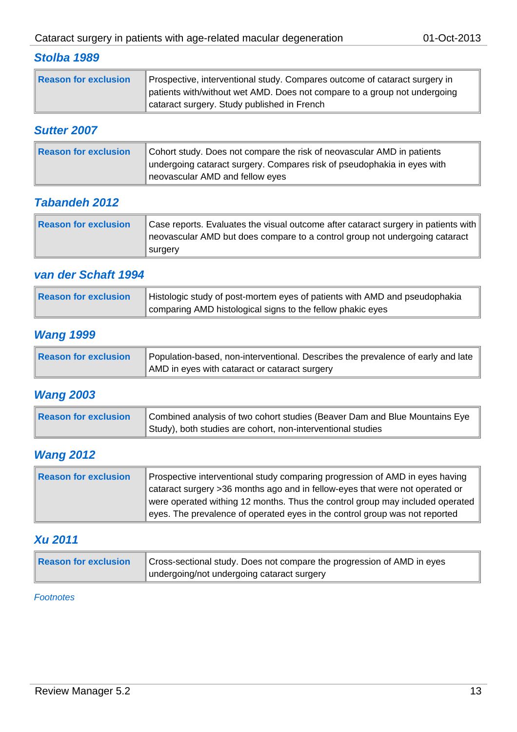### *Stolba 1989*

| Reason for exclusion | Prospective, interventional study. Compares outcome of cataract surgery in<br>patients with/without wet AMD. Does not compare to a group not undergoing |
|----------------------|---------------------------------------------------------------------------------------------------------------------------------------------------------|
|                      | cataract surgery. Study published in French                                                                                                             |

### *Sutter 2007*

| Reason for exclusion | Cohort study. Does not compare the risk of neovascular AMD in patients<br>undergoing cataract surgery. Compares risk of pseudophakia in eyes with |
|----------------------|---------------------------------------------------------------------------------------------------------------------------------------------------|
|                      | neovascular AMD and fellow eyes                                                                                                                   |

### *Tabandeh 2012*

| Reason for exclusion | Case reports. Evaluates the visual outcome after cataract surgery in patients with $\parallel$<br>neovascular AMD but does compare to a control group not undergoing cataract |
|----------------------|-------------------------------------------------------------------------------------------------------------------------------------------------------------------------------|
|                      | surgery                                                                                                                                                                       |

### *van der Schaft 1994*

| Reason for exclusion | Histologic study of post-mortem eyes of patients with AMD and pseudophakia |
|----------------------|----------------------------------------------------------------------------|
|                      | comparing AMD histological signs to the fellow phakic eyes                 |

### *Wang 1999*

| Reason for exclusion | Population-based, non-interventional. Describes the prevalence of early and late |
|----------------------|----------------------------------------------------------------------------------|
|                      | AMD in eyes with cataract or cataract surgery                                    |

### *Wang 2003*

| Reason for exclusion | Combined analysis of two cohort studies (Beaver Dam and Blue Mountains Eye |
|----------------------|----------------------------------------------------------------------------|
|                      | Study), both studies are cohort, non-interventional studies                |

# *Wang 2012*

| Reason for exclusion | Prospective interventional study comparing progression of AMD in eyes having  |
|----------------------|-------------------------------------------------------------------------------|
|                      | cataract surgery >36 months ago and in fellow-eyes that were not operated or  |
|                      | were operated withing 12 months. Thus the control group may included operated |
|                      | eyes. The prevalence of operated eyes in the control group was not reported   |

# *Xu 2011*

| Reason for exclusion | Cross-sectional study. Does not compare the progression of AMD in eyes |
|----------------------|------------------------------------------------------------------------|
|                      | undergoing/not undergoing cataract surgery                             |

#### *Footnotes*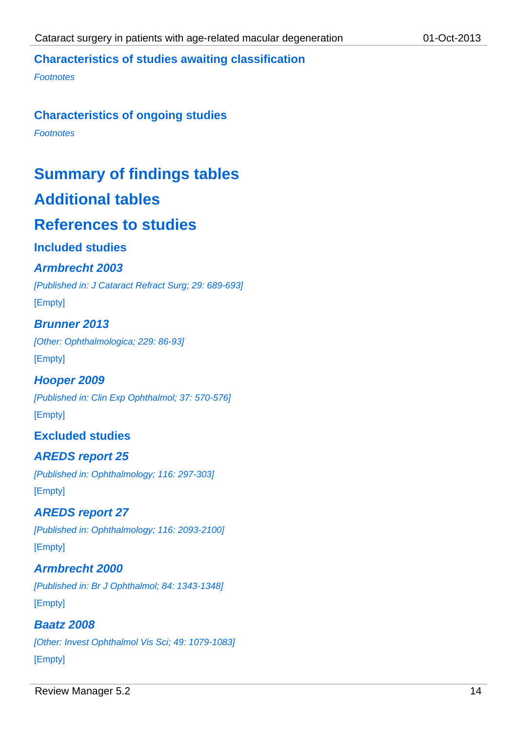### **Characteristics of studies awaiting classification**

*Footnotes*

#### **Characteristics of ongoing studies**

*Footnotes*

# **Summary of findings tables**

# **Additional tables**

# **References to studies**

### **Included studies**

### *Armbrecht 2003*

*[Published in: J Cataract Refract Surg; 29: 689-693]*

[Empty]

### *Brunner 2013*

*[Other: Ophthalmologica; 229: 86-93]* [Empty]

### *Hooper 2009*

*[Published in: Clin Exp Ophthalmol; 37: 570-576]* [Empty]

### **Excluded studies**

### *AREDS report 25*

*[Published in: Ophthalmology; 116: 297-303]* [Empty]

### *AREDS report 27*

*[Published in: Ophthalmology; 116: 2093-2100]* [Empty]

# *Armbrecht 2000*

*[Published in: Br J Ophthalmol; 84: 1343-1348]* [Empty]

### *Baatz 2008*

*[Other: Invest Ophthalmol Vis Sci; 49: 1079-1083]* [Empty]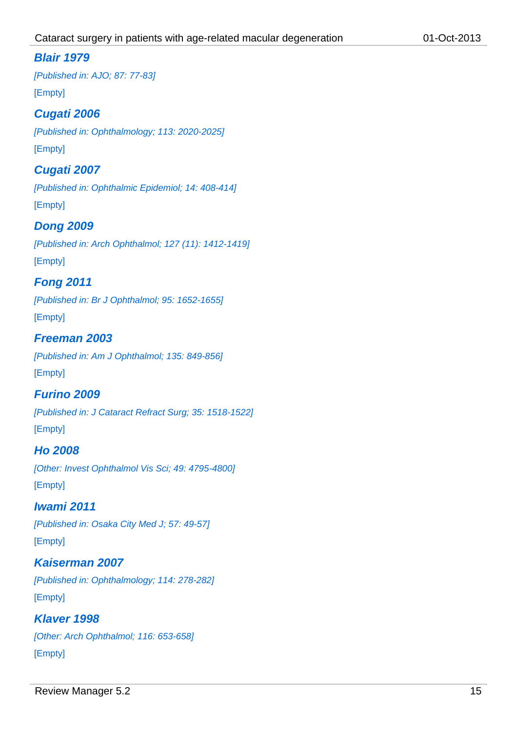### *Blair 1979*

*[Published in: AJO; 87: 77-83]* [Empty]

### *Cugati 2006*

*[Published in: Ophthalmology; 113: 2020-2025]* [Empty]

### *Cugati 2007*

*[Published in: Ophthalmic Epidemiol; 14: 408-414]* [Empty]

### *Dong 2009*

*[Published in: Arch Ophthalmol; 127 (11): 1412-1419]* [Empty]

### *Fong 2011*

*[Published in: Br J Ophthalmol; 95: 1652-1655]*

[Empty]

### *Freeman 2003*

*[Published in: Am J Ophthalmol; 135: 849-856]* [Empty]

### *Furino 2009*

*[Published in: J Cataract Refract Surg; 35: 1518-1522]* [Empty]

### *Ho 2008*

*[Other: Invest Ophthalmol Vis Sci; 49: 4795-4800]* [Empty]

### *Iwami 2011*

*[Published in: Osaka City Med J; 57: 49-57]* [Empty]

# *Kaiserman 2007*

*[Published in: Ophthalmology; 114: 278-282]* [Empty]

### *Klaver 1998*

*[Other: Arch Ophthalmol; 116: 653-658]* [Empty]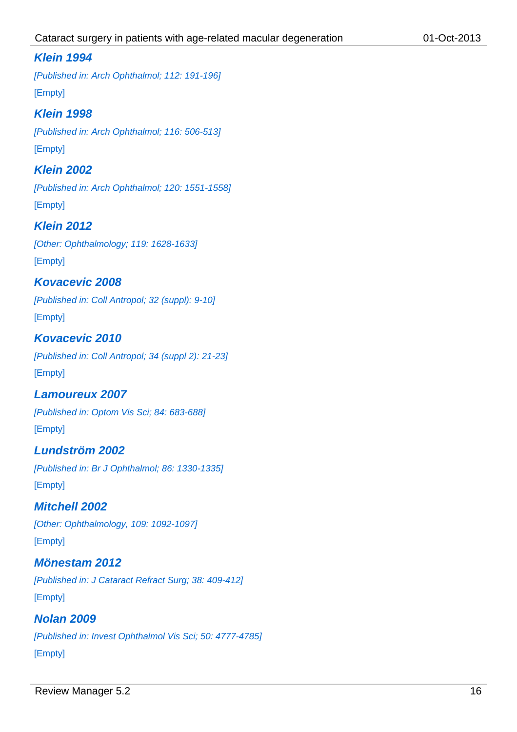### *Klein 1994*

*[Published in: Arch Ophthalmol; 112: 191-196]* [Empty]

### *Klein 1998*

*[Published in: Arch Ophthalmol; 116: 506-513]* [Empty]

### *Klein 2002*

*[Published in: Arch Ophthalmol; 120: 1551-1558]* [Empty]

### *Klein 2012*

*[Other: Ophthalmology; 119: 1628-1633]* [Empty]

### *Kovacevic 2008*

*[Published in: Coll Antropol; 32 (suppl): 9-10]* [Empty]

### *Kovacevic 2010*

*[Published in: Coll Antropol; 34 (suppl 2): 21-23]* [Empty]

### *Lamoureux 2007*

*[Published in: Optom Vis Sci; 84: 683-688]* [Empty]

# *Lundström 2002*

*[Published in: Br J Ophthalmol; 86: 1330-1335]* [Empty]

### *Mitchell 2002*

*[Other: Ophthalmology, 109: 1092-1097]* [Empty]

### *Mönestam 2012*

*[Published in: J Cataract Refract Surg; 38: 409-412]* [Empty]

### *Nolan 2009*

*[Published in: Invest Ophthalmol Vis Sci; 50: 4777-4785]* [Empty]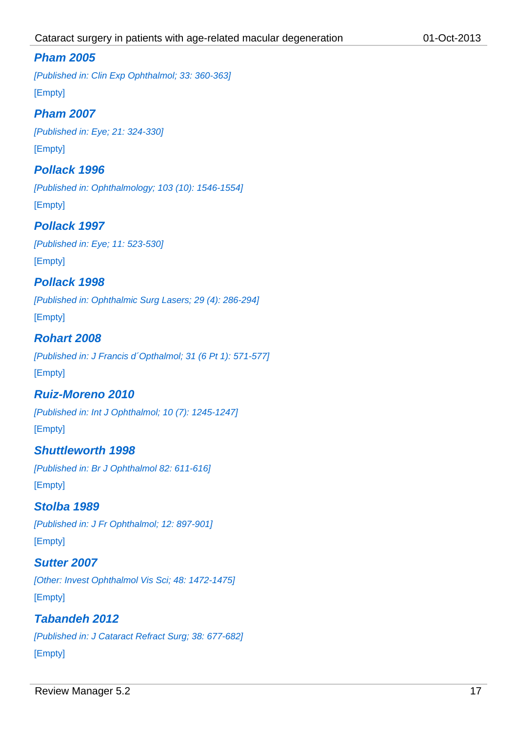### *Pham 2005*

*[Published in: Clin Exp Ophthalmol; 33: 360-363]* [Empty]

### *Pham 2007*

*[Published in: Eye; 21: 324-330]* [Empty]

### *Pollack 1996*

*[Published in: Ophthalmology; 103 (10): 1546-1554]* [Empty]

### *Pollack 1997*

*[Published in: Eye; 11: 523-530]* [Empty]

# *Pollack 1998*

*[Published in: Ophthalmic Surg Lasers; 29 (4): 286-294]*

[Empty]

### *Rohart 2008*

*[Published in: J Francis d´Opthalmol; 31 (6 Pt 1): 571-577]* [Empty]

### *Ruiz-Moreno 2010*

*[Published in: Int J Ophthalmol; 10 (7): 1245-1247]* [Empty]

### *Shuttleworth 1998*

*[Published in: Br J Ophthalmol 82: 611-616]* [Empty]

### *Stolba 1989*

*[Published in: J Fr Ophthalmol; 12: 897-901]* [Empty]

### *Sutter 2007*

*[Other: Invest Ophthalmol Vis Sci; 48: 1472-1475]* [Empty]

### *Tabandeh 2012*

*[Published in: J Cataract Refract Surg; 38: 677-682]*

#### [Empty]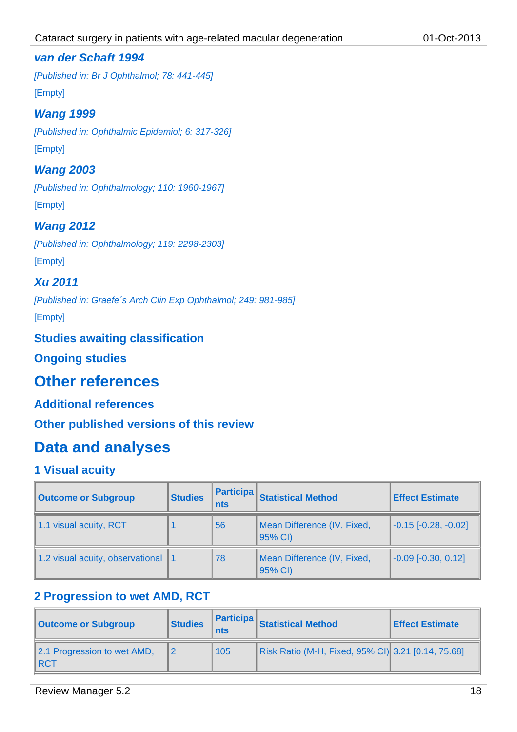### *van der Schaft 1994*

*[Published in: Br J Ophthalmol; 78: 441-445]* [Empty]

### *Wang 1999*

*[Published in: Ophthalmic Epidemiol; 6: 317-326]* [Empty]

### *Wang 2003*

*[Published in: Ophthalmology; 110: 1960-1967]* [Empty]

# *Wang 2012*

*[Published in: Ophthalmology; 119: 2298-2303]* [Empty]

### *Xu 2011*

*[Published in: Graefe´s Arch Clin Exp Ophthalmol; 249: 981-985]* [Empty]

### **Studies awaiting classification**

**Ongoing studies**

# **Other references**

### **Additional references**

**Other published versions of this review**

# **Data and analyses**

### **1 Visual acuity**

| <b>Outcome or Subgroup</b>       | <b>Studies</b> | <b>Participa</b><br>nts | <b>Statistical Method</b>              | <b>Effect Estimate</b>        |  |
|----------------------------------|----------------|-------------------------|----------------------------------------|-------------------------------|--|
| 1.1 visual acuity, RCT<br>56     |                |                         | Mean Difference (IV, Fixed,<br>95% CI) | $-0.15$ [ $-0.28$ , $-0.02$ ] |  |
| 1.2 visual acuity, observational |                | 78                      | Mean Difference (IV, Fixed,<br>95% CI) | $-0.09$ [ $-0.30$ , $0.12$ ]  |  |

# **2 Progression to wet AMD, RCT**

| <b>Outcome or Subgroup</b>                     | <b>Participa</b><br><b>Studies</b><br>nts |     | <b>Statistical Method</b>                          | <b>Effect Estimate</b> |
|------------------------------------------------|-------------------------------------------|-----|----------------------------------------------------|------------------------|
| 2.1 Progression to wet AMD,<br>$\parallel$ RCT |                                           | 105 | Risk Ratio (M-H, Fixed, 95% CI) 3.21 [0.14, 75.68] |                        |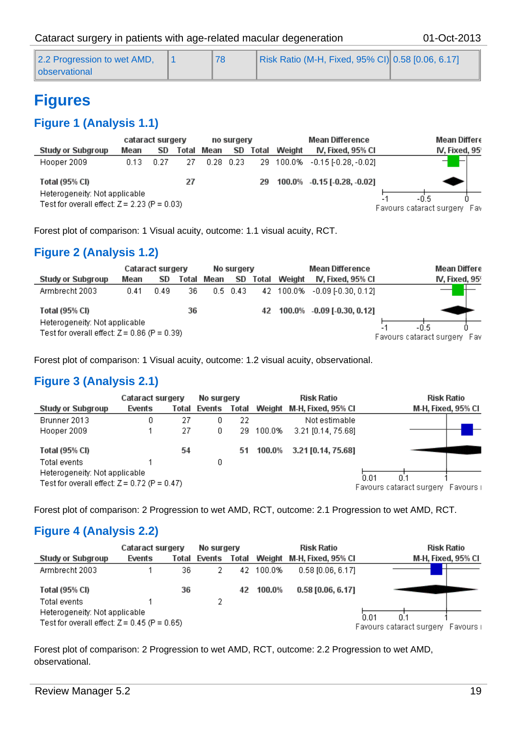| 2.2 Progression to wet AMD, |  | Risk Ratio (M-H, Fixed, 95% CI) 0.58 [0.06, 6.17] |  |
|-----------------------------|--|---------------------------------------------------|--|
| ll observational            |  |                                                   |  |

# **Figures**

# **Figure 1 (Analysis 1.1)**

|                                                 | cataract surgery |      |       | no surgery |             |       |           | <b>Mean Difference</b>                  | Mean Differe   |
|-------------------------------------------------|------------------|------|-------|------------|-------------|-------|-----------|-----------------------------------------|----------------|
| Study or Subgroup                               | Mean             | SD   | Total | Mean       | SD          | Total | Weight    | IV, Fixed, 95% Cl                       | IV, Fixed, 95' |
| Hooper 2009                                     | 0.13             | 0.27 | 27    |            | $0.28$ 0.23 |       | 29 100.0% | $-0.15$ [-0.28, -0.02]                  |                |
| Total (95% CI)<br>Heterogeneity: Not applicable |                  |      | 27    |            |             | 29    |           | 100.0% -0.15 [-0.28, -0.02]             |                |
| Test for overall effect: $Z = 2.23$ (P = 0.03)  |                  |      |       |            |             |       |           | -0.5<br>Favours cataract surgery<br>Fav |                |

Forest plot of comparison: 1 Visual acuity, outcome: 1.1 visual acuity, RCT.

# **Figure 2 (Analysis 1.2)**

|                                                | Cataract surgery |      |       | No surgery |                  |       |        | <b>Mean Difference</b>        | Mean Differe                 |
|------------------------------------------------|------------------|------|-------|------------|------------------|-------|--------|-------------------------------|------------------------------|
| <b>Study or Subgroup</b>                       | Mean             | SD   | Total | Mean       | SD.              | Total | Weight | IV, Fixed, 95% Cl             | IV, Fixed, 959               |
| Armbrecht 2003                                 | 0.41             | 0.49 | 36.   |            | $0.5 \quad 0.43$ |       |        | 42 100.0% -0.09 [-0.30, 0.12] |                              |
| <b>Total (95% CI)</b>                          |                  |      | 36    |            |                  | 42    |        | 100.0% -0.09 [-0.30, 0.12]    |                              |
| Heterogeneity: Not applicable                  |                  |      |       |            |                  |       |        |                               |                              |
| Test for overall effect: $Z = 0.86$ (P = 0.39) |                  |      |       |            |                  |       |        |                               | Favours cataract surgery Fav |

Forest plot of comparison: 1 Visual acuity, outcome: 1.2 visual acuity, observational.

### **Figure 3 (Analysis 2.1)**

|                                                | Cataract surgery |       | No surgery |       |        | <b>Risk Ratio</b>         | <b>Risk Ratio</b>        |           |  |
|------------------------------------------------|------------------|-------|------------|-------|--------|---------------------------|--------------------------|-----------|--|
| <b>Study or Subgroup</b>                       | Events           | Total | Events     | Total |        | Weight M-H, Fixed, 95% CI | M-H, Fixed, 95% Cl       |           |  |
| Brunner 2013                                   | 0                | 27    | 0          | 22    |        | Not estimable             |                          |           |  |
| Hooper 2009                                    |                  | 27    | 0.         | 29.   | 100.0% | 3.21 [0.14, 75.68]        |                          |           |  |
| <b>Total (95% CI)</b>                          |                  | 54    |            | 51    | 100.0% | 3.21 [0.14, 75.68]        |                          |           |  |
| Total events                                   |                  |       | 0.         |       |        |                           |                          |           |  |
| Heterogeneity: Not applicable                  |                  |       |            |       |        |                           | 0.01                     |           |  |
| Test for overall effect: $Z = 0.72$ (P = 0.47) |                  |       |            |       |        |                           | Favours cataract surgery | Favours i |  |

Forest plot of comparison: 2 Progression to wet AMD, RCT, outcome: 2.1 Progression to wet AMD, RCT.

### **Figure 4 (Analysis 2.2)**

|                                                                                 | Cataract surgery |       | No surgery |       | <b>Risk Ratio</b> |                           | <b>Risk Ratio</b>                  |
|---------------------------------------------------------------------------------|------------------|-------|------------|-------|-------------------|---------------------------|------------------------------------|
| <b>Study or Subgroup</b>                                                        | Events           | Total | Events     | Total |                   | Weight M-H, Fixed, 95% CI | M-H, Fixed, 95% CI                 |
| Armbrecht 2003                                                                  |                  | 36.   |            | 42.   | 100.0%            | $0.58$ [0.06, 6.17].      |                                    |
| Total (95% CI)                                                                  |                  | 36    |            | 42    | 100.0%            | $0.58$ [0.06, 6.17]       |                                    |
| Total events                                                                    |                  |       |            |       |                   |                           |                                    |
| Heterogeneity: Not applicable<br>Test for overall effect: $Z = 0.45$ (P = 0.65) |                  |       |            |       |                   |                           | 0.01<br>0.1                        |
|                                                                                 |                  |       |            |       |                   |                           | Favours cataract surgery Favours i |

Forest plot of comparison: 2 Progression to wet AMD, RCT, outcome: 2.2 Progression to wet AMD, observational.